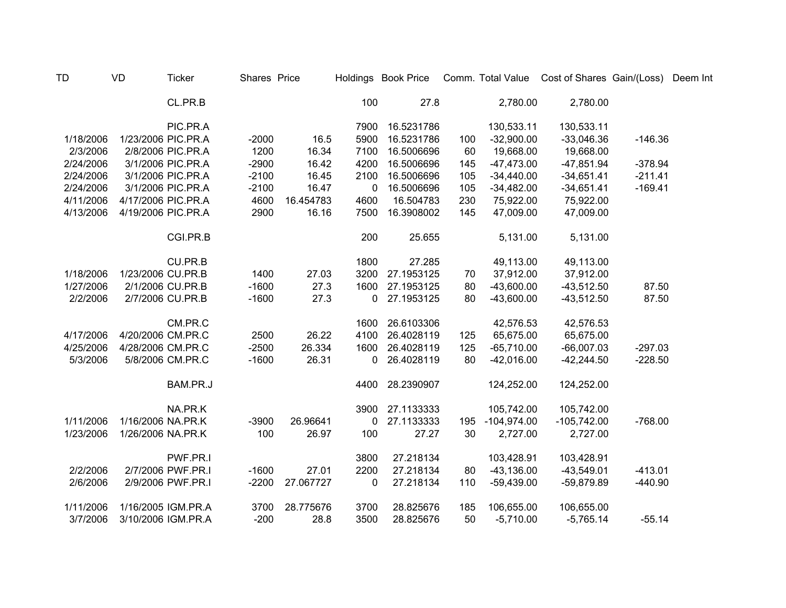| <b>TD</b> | <b>VD</b>          | <b>Ticker</b>      | Shares Price |           |      | Holdings Book Price |     |               | Comm. Total Value Cost of Shares Gain/(Loss) |           | Deem Int |
|-----------|--------------------|--------------------|--------------|-----------|------|---------------------|-----|---------------|----------------------------------------------|-----------|----------|
|           |                    | CL.PR.B            |              |           | 100  | 27.8                |     | 2,780.00      | 2,780.00                                     |           |          |
|           |                    | PIC.PR.A           |              |           | 7900 | 16.5231786          |     | 130,533.11    | 130,533.11                                   |           |          |
| 1/18/2006 |                    | 1/23/2006 PIC.PR.A | $-2000$      | 16.5      | 5900 | 16.5231786          | 100 | $-32,900.00$  | $-33,046.36$                                 | $-146.36$ |          |
| 2/3/2006  |                    | 2/8/2006 PIC.PR.A  | 1200         | 16.34     | 7100 | 16.5006696          | 60  | 19,668.00     | 19,668.00                                    |           |          |
| 2/24/2006 |                    | 3/1/2006 PIC.PR.A  | $-2900$      | 16.42     | 4200 | 16.5006696          | 145 | $-47,473.00$  | $-47,851.94$                                 | $-378.94$ |          |
| 2/24/2006 |                    | 3/1/2006 PIC.PR.A  | $-2100$      | 16.45     | 2100 | 16.5006696          | 105 | $-34,440.00$  | $-34,651.41$                                 | $-211.41$ |          |
| 2/24/2006 |                    | 3/1/2006 PIC.PR.A  | $-2100$      | 16.47     | 0    | 16.5006696          | 105 | $-34,482.00$  | $-34,651.41$                                 | $-169.41$ |          |
| 4/11/2006 | 4/17/2006 PIC.PR.A |                    | 4600         | 16.454783 | 4600 | 16.504783           | 230 | 75,922.00     | 75,922.00                                    |           |          |
| 4/13/2006 | 4/19/2006 PIC.PR.A |                    | 2900         | 16.16     | 7500 | 16.3908002          | 145 | 47,009.00     | 47,009.00                                    |           |          |
|           |                    | CGI.PR.B           |              |           | 200  | 25.655              |     | 5,131.00      | 5,131.00                                     |           |          |
|           |                    | CU.PR.B            |              |           | 1800 | 27.285              |     | 49,113.00     | 49,113.00                                    |           |          |
| 1/18/2006 | 1/23/2006 CU.PR.B  |                    | 1400         | 27.03     | 3200 | 27.1953125          | 70  | 37,912.00     | 37,912.00                                    |           |          |
| 1/27/2006 |                    | 2/1/2006 CU.PR.B   | $-1600$      | 27.3      | 1600 | 27.1953125          | 80  | $-43,600.00$  | $-43,512.50$                                 | 87.50     |          |
| 2/2/2006  |                    | 2/7/2006 CU.PR.B   | $-1600$      | 27.3      | 0    | 27.1953125          | 80  | $-43,600.00$  | $-43,512.50$                                 | 87.50     |          |
|           |                    | CM.PR.C            |              |           | 1600 | 26.6103306          |     | 42,576.53     | 42,576.53                                    |           |          |
| 4/17/2006 | 4/20/2006 CM.PR.C  |                    | 2500         | 26.22     | 4100 | 26.4028119          | 125 | 65,675.00     | 65,675.00                                    |           |          |
| 4/25/2006 | 4/28/2006 CM.PR.C  |                    | $-2500$      | 26.334    | 1600 | 26.4028119          | 125 | $-65,710.00$  | $-66,007.03$                                 | $-297.03$ |          |
| 5/3/2006  |                    | 5/8/2006 CM.PR.C   | $-1600$      | 26.31     | 0    | 26.4028119          | 80  | $-42,016.00$  | $-42,244.50$                                 | $-228.50$ |          |
|           |                    | BAM.PR.J           |              |           | 4400 | 28.2390907          |     | 124,252.00    | 124,252.00                                   |           |          |
|           |                    | NA.PR.K            |              |           | 3900 | 27.1133333          |     | 105,742.00    | 105,742.00                                   |           |          |
| 1/11/2006 | 1/16/2006 NA.PR.K  |                    | $-3900$      | 26.96641  | 0    | 27.1133333          | 195 | $-104,974.00$ | $-105,742.00$                                | $-768.00$ |          |
| 1/23/2006 | 1/26/2006 NA.PR.K  |                    | 100          | 26.97     | 100  | 27.27               | 30  | 2,727.00      | 2,727.00                                     |           |          |
|           |                    | PWF.PR.I           |              |           | 3800 | 27.218134           |     | 103,428.91    | 103,428.91                                   |           |          |
| 2/2/2006  |                    | 2/7/2006 PWF.PR.I  | $-1600$      | 27.01     | 2200 | 27.218134           | 80  | $-43,136.00$  | $-43,549.01$                                 | $-413.01$ |          |
| 2/6/2006  |                    | 2/9/2006 PWF.PR.I  | $-2200$      | 27.067727 | 0    | 27.218134           | 110 | $-59,439.00$  | $-59,879.89$                                 | $-440.90$ |          |
| 1/11/2006 |                    | 1/16/2005 IGM.PR.A | 3700         | 28.775676 | 3700 | 28.825676           | 185 | 106,655.00    | 106,655.00                                   |           |          |
| 3/7/2006  |                    | 3/10/2006 IGM.PR.A | $-200$       | 28.8      | 3500 | 28.825676           | 50  | $-5,710.00$   | $-5,765.14$                                  | $-55.14$  |          |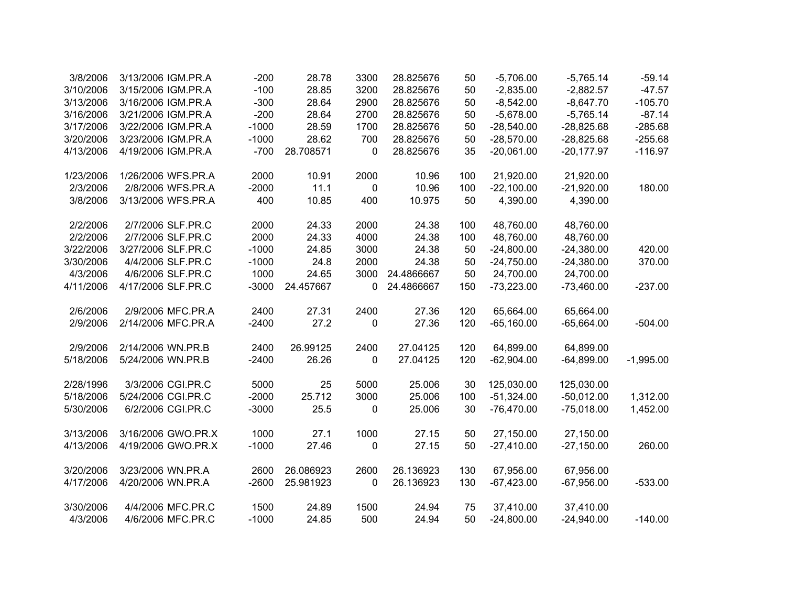| 3/8/2006  | 3/13/2006 IGM.PR.A | $-200$  | 28.78     | 3300      | 28.825676  | 50  | $-5,706.00$  | $-5,765.14$  | $-59.14$    |
|-----------|--------------------|---------|-----------|-----------|------------|-----|--------------|--------------|-------------|
| 3/10/2006 | 3/15/2006 IGM.PR.A | $-100$  | 28.85     | 3200      | 28.825676  | 50  | $-2,835.00$  | $-2,882.57$  | $-47.57$    |
| 3/13/2006 | 3/16/2006 IGM.PR.A | $-300$  | 28.64     | 2900      | 28.825676  | 50  | $-8,542.00$  | $-8,647.70$  | $-105.70$   |
| 3/16/2006 | 3/21/2006 IGM.PR.A | $-200$  | 28.64     | 2700      | 28.825676  | 50  | $-5,678.00$  | $-5,765.14$  | $-87.14$    |
| 3/17/2006 | 3/22/2006 IGM.PR.A | $-1000$ | 28.59     | 1700      | 28.825676  | 50  | $-28,540.00$ | $-28,825.68$ | $-285.68$   |
| 3/20/2006 | 3/23/2006 IGM.PR.A | $-1000$ | 28.62     | 700       | 28.825676  | 50  | $-28,570.00$ | $-28,825.68$ | $-255.68$   |
| 4/13/2006 | 4/19/2006 IGM.PR.A | $-700$  | 28.708571 | 0         | 28.825676  | 35  | $-20,061.00$ | $-20,177.97$ | $-116.97$   |
| 1/23/2006 | 1/26/2006 WFS.PR.A | 2000    | 10.91     | 2000      | 10.96      | 100 | 21,920.00    | 21,920.00    |             |
| 2/3/2006  | 2/8/2006 WFS.PR.A  | $-2000$ | 11.1      | $\pmb{0}$ | 10.96      | 100 | $-22,100.00$ | $-21,920.00$ | 180.00      |
| 3/8/2006  | 3/13/2006 WFS.PR.A | 400     | 10.85     | 400       | 10.975     | 50  | 4,390.00     | 4,390.00     |             |
| 2/2/2006  | 2/7/2006 SLF.PR.C  | 2000    | 24.33     | 2000      | 24.38      | 100 | 48,760.00    | 48,760.00    |             |
| 2/2/2006  | 2/7/2006 SLF.PR.C  | 2000    | 24.33     | 4000      | 24.38      | 100 | 48,760.00    | 48,760.00    |             |
| 3/22/2006 | 3/27/2006 SLF.PR.C | $-1000$ | 24.85     | 3000      | 24.38      | 50  | $-24,800.00$ | $-24,380.00$ | 420.00      |
| 3/30/2006 | 4/4/2006 SLF.PR.C  | $-1000$ | 24.8      | 2000      | 24.38      | 50  | $-24,750.00$ | $-24,380.00$ | 370.00      |
| 4/3/2006  | 4/6/2006 SLF.PR.C  | 1000    | 24.65     | 3000      | 24.4866667 | 50  | 24,700.00    | 24,700.00    |             |
| 4/11/2006 | 4/17/2006 SLF.PR.C | $-3000$ | 24.457667 | 0         | 24.4866667 | 150 | $-73,223.00$ | $-73,460.00$ | $-237.00$   |
| 2/6/2006  | 2/9/2006 MFC.PR.A  | 2400    | 27.31     | 2400      | 27.36      | 120 | 65,664.00    | 65,664.00    |             |
| 2/9/2006  | 2/14/2006 MFC.PR.A | $-2400$ | 27.2      | 0         | 27.36      | 120 | $-65,160.00$ | $-65,664.00$ | $-504.00$   |
| 2/9/2006  | 2/14/2006 WN.PR.B  | 2400    | 26.99125  | 2400      | 27.04125   | 120 | 64,899.00    | 64,899.00    |             |
| 5/18/2006 | 5/24/2006 WN.PR.B  | $-2400$ | 26.26     | 0         | 27.04125   | 120 | $-62,904.00$ | $-64,899.00$ | $-1,995.00$ |
| 2/28/1996 | 3/3/2006 CGI.PR.C  | 5000    | 25        | 5000      | 25.006     | 30  | 125,030.00   | 125,030.00   |             |
| 5/18/2006 | 5/24/2006 CGI.PR.C | $-2000$ | 25.712    | 3000      | 25.006     | 100 | $-51,324.00$ | $-50,012.00$ | 1,312.00    |
| 5/30/2006 | 6/2/2006 CGI.PR.C  | $-3000$ | 25.5      | 0         | 25.006     | 30  | $-76,470.00$ | $-75,018.00$ | 1,452.00    |
| 3/13/2006 | 3/16/2006 GWO.PR.X | 1000    | 27.1      | 1000      | 27.15      | 50  | 27,150.00    | 27,150.00    |             |
| 4/13/2006 | 4/19/2006 GWO.PR.X | $-1000$ | 27.46     | 0         | 27.15      | 50  | $-27,410.00$ | $-27,150.00$ | 260.00      |
| 3/20/2006 | 3/23/2006 WN.PR.A  | 2600    | 26.086923 | 2600      | 26.136923  | 130 | 67,956.00    | 67,956.00    |             |
| 4/17/2006 | 4/20/2006 WN.PR.A  | $-2600$ | 25.981923 | 0         | 26.136923  | 130 | $-67,423.00$ | $-67,956.00$ | $-533.00$   |
| 3/30/2006 | 4/4/2006 MFC.PR.C  | 1500    | 24.89     | 1500      | 24.94      | 75  | 37,410.00    | 37,410.00    |             |
| 4/3/2006  | 4/6/2006 MFC.PR.C  | $-1000$ | 24.85     | 500       | 24.94      | 50  | $-24,800.00$ | $-24,940.00$ | $-140.00$   |